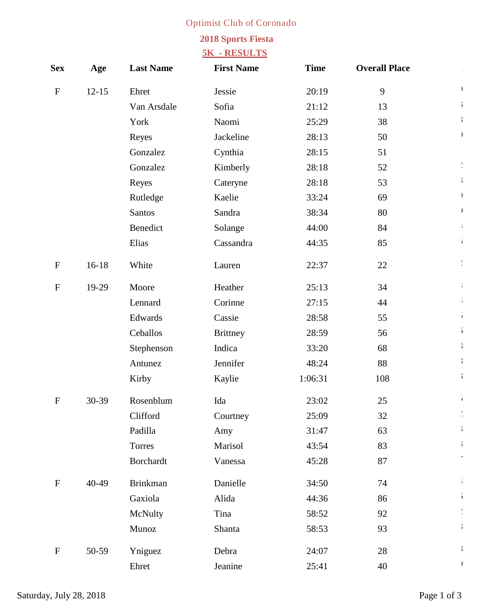## **Optimist Club of Coronado**

## **2018 Sports Fiesta**

## **5K - RESULTS**

| <b>Sex</b>   | Age       | <b>Last Name</b>  | <b>First Name</b> | <b>Time</b> | <b>Overall Place</b> |  |
|--------------|-----------|-------------------|-------------------|-------------|----------------------|--|
| ${\bf F}$    | $12 - 15$ | <b>Ehret</b>      | <b>Jessie</b>     | 20:19       | $\boldsymbol{9}$     |  |
|              |           | Van Arsdale       | Sofia             | 21:12       | 13                   |  |
|              |           | York              | <b>Naomi</b>      | 25:29       | 38                   |  |
|              |           | <b>Reyes</b>      | <b>Jackeline</b>  | 28:13       | 50                   |  |
|              |           | <b>Gonzalez</b>   | Cynthia           | 28:15       | 51                   |  |
|              |           | <b>Gonzalez</b>   | <b>Kimberly</b>   | 28:18       | 52                   |  |
|              |           | <b>Reyes</b>      | <b>Cateryne</b>   | 28:18       | 53                   |  |
|              |           | <b>Rutledge</b>   | <b>Kaelie</b>     | 33:24       | 69                   |  |
|              |           | <b>Santos</b>     | <b>Sandra</b>     | 38:34       | 80                   |  |
|              |           | <b>Benedict</b>   | <b>Solange</b>    | 44:00       | 84                   |  |
|              |           | <b>Elias</b>      | Cassandra         | 44:35       | 85                   |  |
| ${\bf F}$    | $16 - 18$ | White             | Lauren            | 22:37       | 22                   |  |
| $\mathbf F$  | 19-29     | <b>Moore</b>      | <b>Heather</b>    | 25:13       | 34                   |  |
|              |           | <b>Lennard</b>    | <b>Corinne</b>    | 27:15       | 44                   |  |
|              |           | <b>Edwards</b>    | <b>Cassie</b>     | 28:58       | 55                   |  |
|              |           | <b>Ceballos</b>   | <b>Brittney</b>   | 28:59       | 56                   |  |
|              |           | <b>Stephenson</b> | <b>Indica</b>     | 33:20       | 68                   |  |
|              |           | <b>Antunez</b>    | <b>Jennifer</b>   | 48:24       | 88                   |  |
|              |           | <b>Kirby</b>      | <b>Kaylie</b>     | 1:06:31     | 108                  |  |
| $\mathbf F$  | 30-39     | <b>Rosenblum</b>  | Ida               | 23:02       | 25                   |  |
|              |           | <b>Clifford</b>   | <b>Courtney</b>   | 25:09       | 32                   |  |
|              |           | Padilla           | Amy               | 31:47       | 63                   |  |
|              |           | <b>Torres</b>     | <b>Marisol</b>    | 43:54       | 83                   |  |
|              |           | <b>Borchardt</b>  | <b>Vanessa</b>    | 45:28       | 87                   |  |
| $\mathbf{F}$ | 40-49     | <b>Brinkman</b>   | <b>Danielle</b>   | 34:50       | 74                   |  |
|              |           | Gaxiola           | <b>Alida</b>      | 44:36       | 86                   |  |
|              |           | <b>McNulty</b>    | <b>Tina</b>       | 58:52       | 92                   |  |
|              |           | <b>Munoz</b>      | <b>Shanta</b>     | 58:53       | 93                   |  |
| $\mathbf F$  | 50-59     | <b>Yniguez</b>    | <b>Debra</b>      | 24:07       | 28                   |  |
|              |           | <b>Ehret</b>      | <b>Jeanine</b>    | 25:41       | 40                   |  |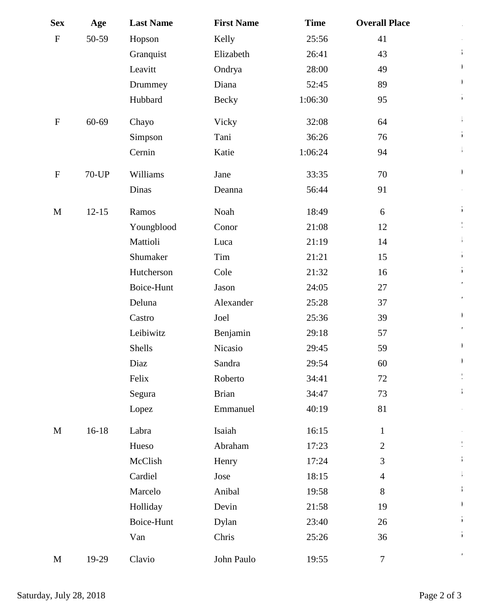| <b>Sex</b>   | Age          | <b>Last Name</b>  | <b>First Name</b> | <b>Time</b> | <b>Overall Place</b>    |  |
|--------------|--------------|-------------------|-------------------|-------------|-------------------------|--|
| $\mathbf F$  | 50-59        | Hopson            | <b>Kelly</b>      | 25:56       | 41                      |  |
|              |              | <b>Granquist</b>  | <b>Elizabeth</b>  | 26:41       | 43                      |  |
|              |              | Leavitt           | Ondrya            | 28:00       | 49                      |  |
|              |              | <b>Drummey</b>    | <b>Diana</b>      | 52:45       | 89                      |  |
|              |              | Hubbard           | <b>Becky</b>      | 1:06:30     | 95                      |  |
| $\mathbf{F}$ | 60-69        | <b>Chayo</b>      | <b>Vicky</b>      | 32:08       | 64                      |  |
|              |              | <b>Simpson</b>    | Tani              | 36:26       | 76                      |  |
|              |              | <b>Cemin</b>      | <b>Katie</b>      | 1:06:24     | 94                      |  |
| $\mathbf F$  | <b>70-UP</b> | <b>Williams</b>   | <b>Jane</b>       | 33:35       | 70                      |  |
|              |              | <b>Dinas</b>      | <b>Deanna</b>     | 56:44       | 91                      |  |
| $\mathbf{M}$ | $12 - 15$    | <b>Ramos</b>      | <b>Noah</b>       | 18:49       | 6                       |  |
|              |              | Youngblood        | <b>Conor</b>      | 21:08       | 12                      |  |
|              |              | <b>Mattioli</b>   | Luca              | 21:19       | 14                      |  |
|              |              | <b>Shumaker</b>   | <b>Tim</b>        | 21:21       | 15                      |  |
|              |              | <b>Hutcherson</b> | <b>Cole</b>       | 21:32       | 16                      |  |
|              |              | <b>Boice-Hunt</b> | <b>Jason</b>      | 24:05       | 27                      |  |
|              |              | <b>Deluna</b>     | <b>Alexander</b>  | 25:28       | 37                      |  |
|              |              | <b>Castro</b>     | <b>Joel</b>       | 25:36       | 39                      |  |
|              |              | Leibiwitz         | <b>Benjamin</b>   | 29:18       | 57                      |  |
|              |              | <b>Shells</b>     | <b>Nicasio</b>    | 29:45       | 59                      |  |
|              |              | <b>Diaz</b>       | <b>Sandra</b>     | 29:54       | 60                      |  |
|              |              | <b>Felix</b>      | <b>Roberto</b>    | 34:41       | 72                      |  |
|              |              | <b>Segura</b>     | <b>Brian</b>      | 34:47       | 73                      |  |
|              |              | <b>Lopez</b>      | <b>Emmanuel</b>   | 40:19       | 81                      |  |
| $\mathbf{M}$ | $16 - 18$    | Labra             | Isaiah            | 16:15       | $\mathbf{1}$            |  |
|              |              | <b>Hueso</b>      | <b>Abraham</b>    | 17:23       | $\boldsymbol{2}$        |  |
|              |              | <b>McClish</b>    | <b>Henry</b>      | 17:24       | $\overline{\mathbf{3}}$ |  |
|              |              | <b>Cardiel</b>    | Jose              | 18:15       | $\overline{\mathbf{4}}$ |  |
|              |              | <b>Marcelo</b>    | <b>Anibal</b>     | 19:58       | 8                       |  |
|              |              | <b>Holliday</b>   | <b>Devin</b>      | 21:58       | 19                      |  |
|              |              | <b>Boice-Hunt</b> | <b>Dylan</b>      | 23:40       | 26                      |  |
|              |              | Van               | <b>Chris</b>      | 25:26       | 36                      |  |
| M            | $19-29$      | <b>Clavio</b>     | <b>John Paulo</b> | 19:55       | $\overline{7}$          |  |